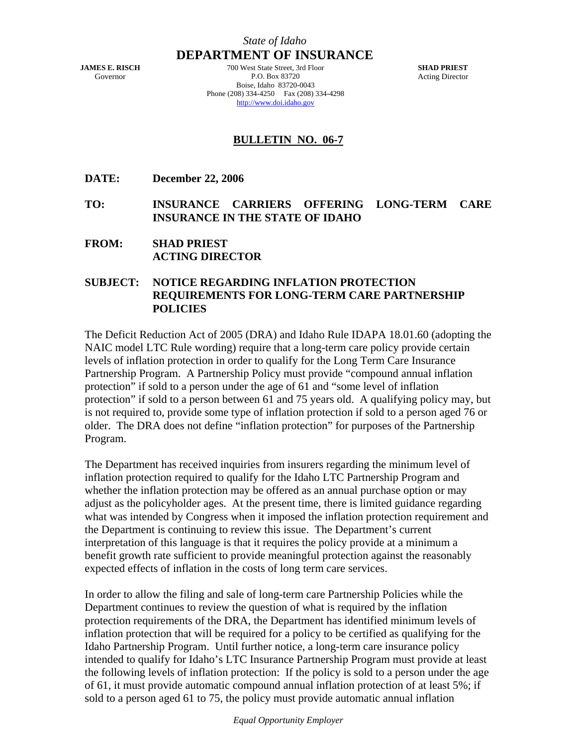## *State of Idaho* **DEPARTMENT OF INSURANCE**

**JAMES E. RISCH**  Governor

700 West State Street, 3rd Floor P.O. Box 83720 Boise, Idaho 83720-0043 Phone (208) 334-4250 Fax (208) 334-4298 http://www.doi.idaho.gov

**SHAD PRIEST**  Acting Director

## **BULLETIN NO. 06-7**

- **DATE: December 22, 2006**
- **TO: INSURANCE CARRIERS OFFERING LONG-TERM CARE INSURANCE IN THE STATE OF IDAHO**
- **FROM: SHAD PRIEST ACTING DIRECTOR**

## **SUBJECT: NOTICE REGARDING INFLATION PROTECTION REQUIREMENTS FOR LONG-TERM CARE PARTNERSHIP POLICIES**

The Deficit Reduction Act of 2005 (DRA) and Idaho Rule IDAPA 18.01.60 (adopting the NAIC model LTC Rule wording) require that a long-term care policy provide certain levels of inflation protection in order to qualify for the Long Term Care Insurance Partnership Program. A Partnership Policy must provide "compound annual inflation protection" if sold to a person under the age of 61 and "some level of inflation protection" if sold to a person between 61 and 75 years old. A qualifying policy may, but is not required to, provide some type of inflation protection if sold to a person aged 76 or older. The DRA does not define "inflation protection" for purposes of the Partnership Program.

The Department has received inquiries from insurers regarding the minimum level of inflation protection required to qualify for the Idaho LTC Partnership Program and whether the inflation protection may be offered as an annual purchase option or may adjust as the policyholder ages. At the present time, there is limited guidance regarding what was intended by Congress when it imposed the inflation protection requirement and the Department is continuing to review this issue. The Department's current interpretation of this language is that it requires the policy provide at a minimum a benefit growth rate sufficient to provide meaningful protection against the reasonably expected effects of inflation in the costs of long term care services.

In order to allow the filing and sale of long-term care Partnership Policies while the Department continues to review the question of what is required by the inflation protection requirements of the DRA, the Department has identified minimum levels of inflation protection that will be required for a policy to be certified as qualifying for the Idaho Partnership Program. Until further notice, a long-term care insurance policy intended to qualify for Idaho's LTC Insurance Partnership Program must provide at least the following levels of inflation protection: If the policy is sold to a person under the age of 61, it must provide automatic compound annual inflation protection of at least 5%; if sold to a person aged 61 to 75, the policy must provide automatic annual inflation